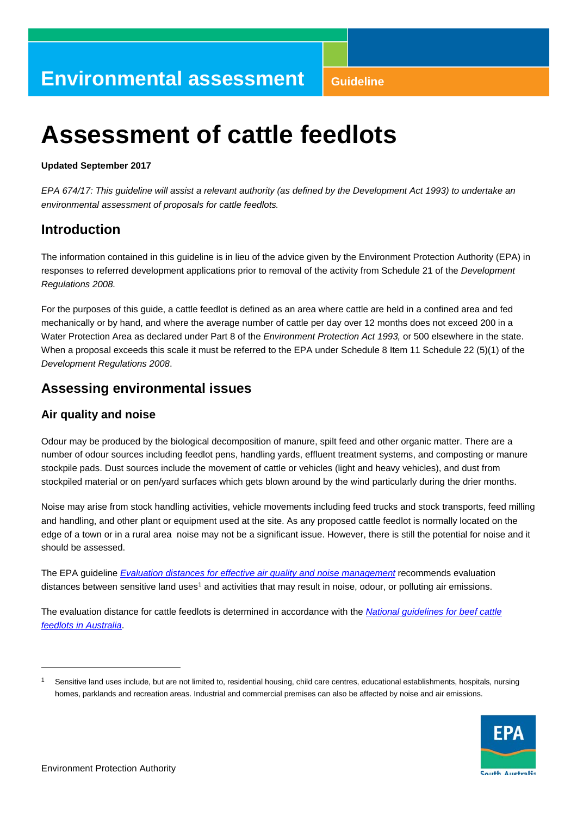# **Assessment of cattle feedlots**

#### **Updated September 2017**

*EPA 674/17: This guideline will assist a relevant authority (as defined by the Development Act 1993) to undertake an environmental assessment of proposals for cattle feedlots.*

# **Introduction**

The information contained in this guideline is in lieu of the advice given by the Environment Protection Authority (EPA) in responses to referred development applications prior to removal of the activity from Schedule 21 of the *Development Regulations 2008.*

For the purposes of this guide, a cattle feedlot is defined as an area where cattle are held in a confined area and fed mechanically or by hand, and where the average number of cattle per day over 12 months does not exceed 200 in a Water Protection Area as declared under Part 8 of the *Environment Protection Act 1993,* or 500 elsewhere in the state. When a proposal exceeds this scale it must be referred to the EPA under Schedule 8 Item 11 Schedule 22 (5)(1) of the *Development Regulations 2008*.

# **Assessing environmental issues**

## **Air quality and noise**

Odour may be produced by the biological decomposition of manure, spilt feed and other organic matter. There are a number of odour sources including feedlot pens, handling yards, effluent treatment systems, and composting or manure stockpile pads. Dust sources include the movement of cattle or vehicles (light and heavy vehicles), and dust from stockpiled material or on pen/yard surfaces which gets blown around by the wind particularly during the drier months.

Noise may arise from stock handling activities, vehicle movements including feed trucks and stock transports, feed milling and handling, and other plant or equipment used at the site. As any proposed cattle feedlot is normally located on the edge of a town or in a rural area noise may not be a significant issue. However, there is still the potential for noise and it should be assessed.

The EPA guideline *[Evaluation distances for effective air quality and noise management](http://www.epa.sa.gov.au/files/12193_eval_distances.pdf)* recommends evaluation distances between sensitive land uses<sup>[1](#page-0-0)</sup> and activities that may result in noise, odour, or polluting air emissions.

The evaluation distance for cattle feedlots is determined in accordance with the *[National guidelines for beef cattle](https://www.mla.com.au/Research-and-development/Search-RD-reports/RD-report-details/Productivity-On-Farm/National-Guidelines-for-Beef-Cattle-Feedlotsin-Australia-3rd-Edition/956)  [feedlots in Australia](https://www.mla.com.au/Research-and-development/Search-RD-reports/RD-report-details/Productivity-On-Farm/National-Guidelines-for-Beef-Cattle-Feedlotsin-Australia-3rd-Edition/956)*.

<span id="page-0-0"></span>Sensitive land uses include, but are not limited to, residential housing, child care centres, educational establishments, hospitals, nursing homes, parklands and recreation areas. Industrial and commercial premises can also be affected by noise and air emissions.



1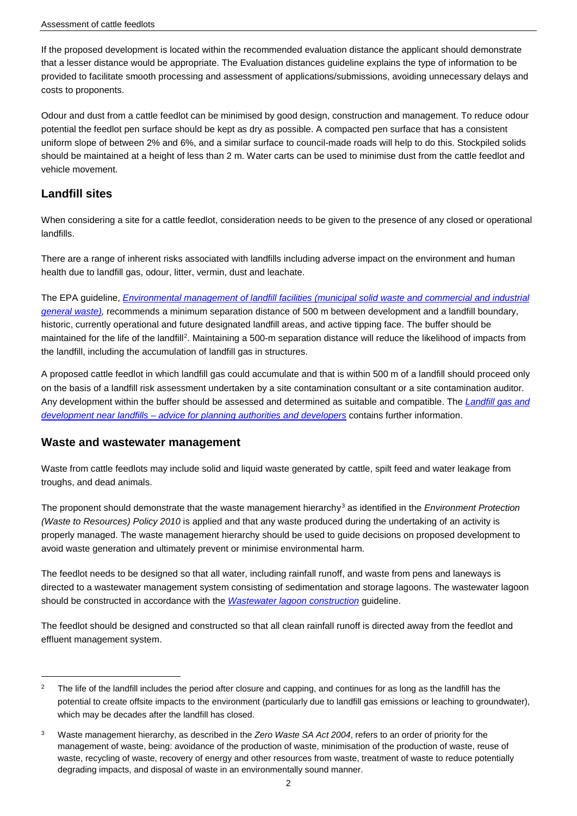If the proposed development is located within the recommended evaluation distance the applicant should demonstrate that a lesser distance would be appropriate. The Evaluation distances guideline explains the type of information to be provided to facilitate smooth processing and assessment of applications/submissions, avoiding unnecessary delays and costs to proponents.

Odour and dust from a cattle feedlot can be minimised by good design, construction and management. To reduce odour potential the feedlot pen surface should be kept as dry as possible. A compacted pen surface that has a consistent uniform slope of between 2% and 6%, and a similar surface to council-made roads will help to do this. Stockpiled solids should be maintained at a height of less than 2 m. Water carts can be used to minimise dust from the cattle feedlot and vehicle movement.

## **Landfill sites**

-

When considering a site for a cattle feedlot, consideration needs to be given to the presence of any closed or operational landfills.

There are a range of inherent risks associated with landfills including adverse impact on the environment and human health due to landfill gas, odour, litter, vermin, dust and leachate.

The EPA guideline, *[Environmental management of landfill facilities \(municipal solid waste and commercial and industrial](http://www.epa.sa.gov.au/files/4771343_guide_landfill.pdf)  [general waste\),](http://www.epa.sa.gov.au/files/4771343_guide_landfill.pdf)* recommends a minimum separation distance of 500 m between development and a landfill boundary, historic, currently operational and future designated landfill areas, and active tipping face. The buffer should be maintained for the life of the landfill<sup>[2](#page-1-0)</sup>. Maintaining a 500-m separation distance will reduce the likelihood of impacts from the landfill, including the accumulation of landfill gas in structures.

A proposed cattle feedlot in which landfill gas could accumulate and that is within 500 m of a landfill should proceed only on the basis of a landfill risk assessment undertaken by a site contamination consultant or a site contamination auditor. Any development within the buffer should be assessed and determined as suitable and compatible. The *[Landfill gas and](http://www.epa.sa.gov.au/files/47793_info_landfill_gas.pdf)  development near landfills – [advice for planning authorities and developers](http://www.epa.sa.gov.au/files/47793_info_landfill_gas.pdf)* contains further information.

### **Waste and wastewater management**

Waste from cattle feedlots may include solid and liquid waste generated by cattle, spilt feed and water leakage from troughs, and dead animals.

The proponent should demonstrate that the waste management hierarchy[3](#page-1-1) as identified in the *Environment Protection (Waste to Resources) Policy 2010* is applied and that any waste produced during the undertaking of an activity is properly managed. The waste management hierarchy should be used to guide decisions on proposed development to avoid waste generation and ultimately prevent or minimise environmental harm.

The feedlot needs to be designed so that all water, including rainfall runoff, and waste from pens and laneways is directed to a wastewater management system consisting of sedimentation and storage lagoons. The wastewater lagoon should be constructed in accordance with the *[Wastewater lagoon construction](http://www.epa.sa.gov.au/files/4771372_guide_lagoon.pdf)* guideline.

The feedlot should be designed and constructed so that all clean rainfall runoff is directed away from the feedlot and effluent management system.

<span id="page-1-0"></span> $2$  The life of the landfill includes the period after closure and capping, and continues for as long as the landfill has the potential to create offsite impacts to the environment (particularly due to landfill gas emissions or leaching to groundwater), which may be decades after the landfill has closed.

<span id="page-1-1"></span><sup>3</sup> Waste management hierarchy, as described in the *Zero Waste SA Act 2004*, refers to an order of priority for the management of waste, being: avoidance of the production of waste, minimisation of the production of waste, reuse of waste, recycling of waste, recovery of energy and other resources from waste, treatment of waste to reduce potentially degrading impacts, and disposal of waste in an environmentally sound manner.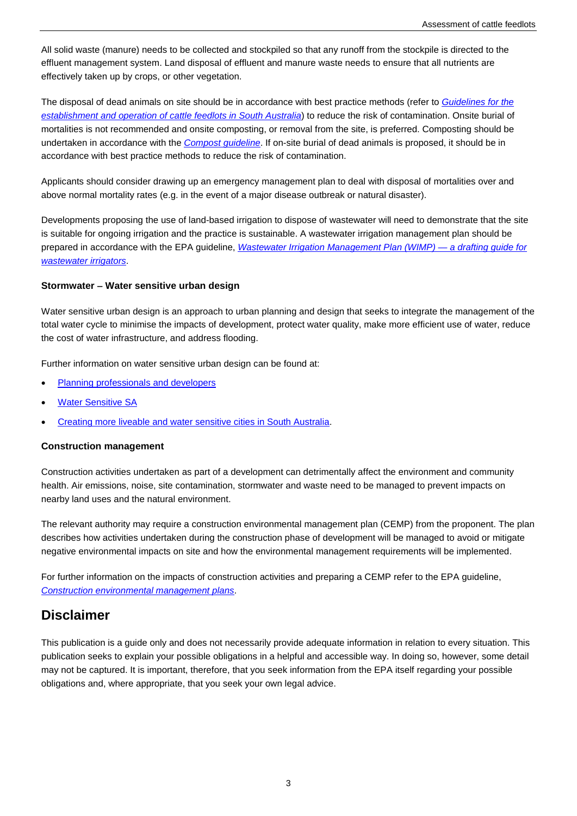All solid waste (manure) needs to be collected and stockpiled so that any runoff from the stockpile is directed to the effluent management system. Land disposal of effluent and manure waste needs to ensure that all nutrients are effectively taken up by crops, or other vegetation.

The disposal of dead animals on site should be in accordance with best practice methods (refer to *[Guidelines for the](http://www.epa.sa.gov.au/files/477369_cattle.pdf)  [establishment and operation of cattle feedlots in South Australia](http://www.epa.sa.gov.au/files/477369_cattle.pdf)*) to reduce the risk of contamination. Onsite burial of mortalities is not recommended and onsite composting, or removal from the site, is preferred. Composting should be undertaken in accordance with the *[Compost guideline](http://www.epa.sa.gov.au/files/4771342_compostguideline.pdf)*. If on-site burial of dead animals is proposed, it should be in accordance with best practice methods to reduce the risk of contamination.

Applicants should consider drawing up an emergency management plan to deal with disposal of mortalities over and above normal mortality rates (e.g. in the event of a major disease outbreak or natural disaster).

Developments proposing the use of land-based irrigation to dispose of wastewater will need to demonstrate that the site is suitable for ongoing irrigation and the practice is sustainable. A wastewater irrigation management plan should be prepared in accordance with the EPA guideline, *[Wastewater Irrigation Management Plan \(WIMP\) —](http://www.epa.sa.gov.au/files/4771363_guide_wimp.pdf) a drafting guide for [wastewater irrigators](http://www.epa.sa.gov.au/files/4771363_guide_wimp.pdf)*.

#### **Stormwater** − **Water sensitive urban design**

Water sensitive urban design is an approach to urban planning and design that seeks to integrate the management of the total water cycle to minimise the impacts of development, protect water quality, make more efficient use of water, reduce the cost of water infrastructure, and address flooding.

Further information on water sensitive urban design can be found at:

- [Planning professionals and developers](https://www.sa.gov.au/topics/planning-and-property/land-and-property-development/planning-professionals/water-sensitive-urban-designhttps:/www.sa.gov.au/topics/housing-property-and-land/building-and-development/land-supply-and-planning-system/water-sensitive-urban-design)
- **[Water Sensitive SA](http://www.watersensitivesa.com/)**
- [Creating more liveable and water sensitive cities in South Australia.](http://www.environment.sa.gov.au/files/sharedassets/public/water/water-sensitive-urban-design-policy-gen.pdf)

#### **Construction management**

Construction activities undertaken as part of a development can detrimentally affect the environment and community health. Air emissions, noise, site contamination, stormwater and waste need to be managed to prevent impacts on nearby land uses and the natural environment.

The relevant authority may require a construction environmental management plan (CEMP) from the proponent. The plan describes how activities undertaken during the construction phase of development will be managed to avoid or mitigate negative environmental impacts on site and how the environmental management requirements will be implemented.

For further information on the impacts of construction activities and preparing a CEMP refer to the EPA guideline, *[Construction environmental management plans](http://www.epa.sa.gov.au/files/12330_guide_cemp.pdf)*.

# **Disclaimer**

This publication is a guide only and does not necessarily provide adequate information in relation to every situation. This publication seeks to explain your possible obligations in a helpful and accessible way. In doing so, however, some detail may not be captured. It is important, therefore, that you seek information from the EPA itself regarding your possible obligations and, where appropriate, that you seek your own legal advice.